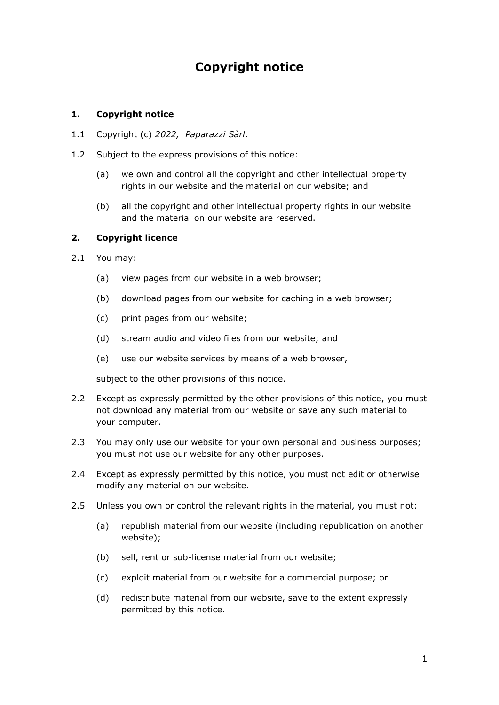# **Copyright notice**

# **1. Copyright notice**

- 1.1 Copyright (c) *2022, Paparazzi Sàrl*.
- 1.2 Subject to the express provisions of this notice:
	- (a) we own and control all the copyright and other intellectual property rights in our website and the material on our website; and
	- (b) all the copyright and other intellectual property rights in our website and the material on our website are reserved.

# **2. Copyright licence**

- 2.1 You may:
	- (a) view pages from our website in a web browser;
	- (b) download pages from our website for caching in a web browser;
	- (c) print pages from our website;
	- (d) stream audio and video files from our website; and
	- (e) use our website services by means of a web browser,

subject to the other provisions of this notice.

- 2.2 Except as expressly permitted by the other provisions of this notice, you must not download any material from our website or save any such material to your computer.
- 2.3 You may only use our website for your own personal and business purposes; you must not use our website for any other purposes.
- 2.4 Except as expressly permitted by this notice, you must not edit or otherwise modify any material on our website.
- 2.5 Unless you own or control the relevant rights in the material, you must not:
	- (a) republish material from our website (including republication on another website);
	- (b) sell, rent or sub-license material from our website;
	- (c) exploit material from our website for a commercial purpose; or
	- (d) redistribute material from our website, save to the extent expressly permitted by this notice.